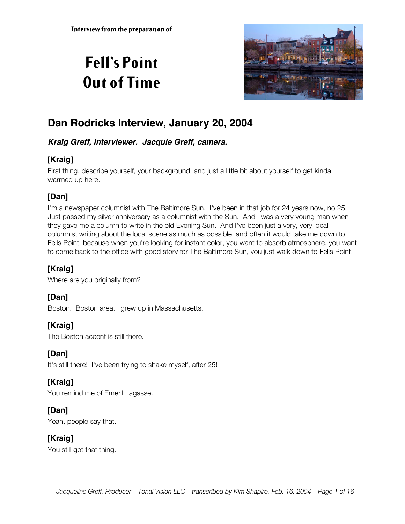# **Fell's Point Out of Time**



## **Dan Rodricks Interview, January 20, 2004**

## **Kraig Greff, interviewer. Jacquie Greff, camera.**

## **[Kraig]**

First thing, describe yourself, your background, and just a little bit about yourself to get kinda warmed up here.

## **[Dan]**

I'm a newspaper columnist with The Baltimore Sun. I've been in that job for 24 years now, no 25! Just passed my silver anniversary as a columnist with the Sun. And I was a very young man when they gave me a column to write in the old Evening Sun. And I've been just a very, very local columnist writing about the local scene as much as possible, and often it would take me down to Fells Point, because when you're looking for instant color, you want to absorb atmosphere, you want to come back to the office with good story for The Baltimore Sun, you just walk down to Fells Point.

## **[Kraig]**

Where are you originally from?

## **[Dan]**

Boston. Boston area. I grew up in Massachusetts.

## **[Kraig]**

The Boston accent is still there.

## **[Dan]**

It's still there! I've been trying to shake myself, after 25!

## **[Kraig]**

You remind me of Emeril Lagasse.

#### **[Dan]**

Yeah, people say that.

## **[Kraig]**

You still got that thing.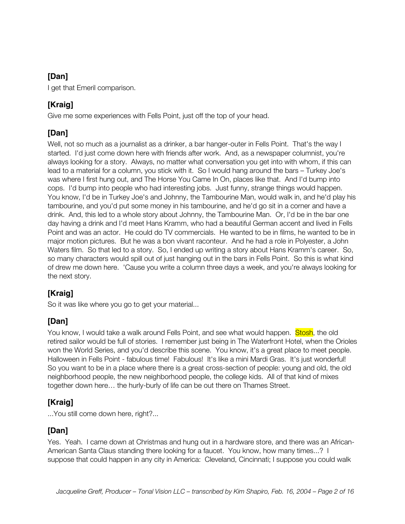I get that Emeril comparison.

## **[Kraig]**

Give me some experiences with Fells Point, just off the top of your head.

## **[Dan]**

Well, not so much as a journalist as a drinker, a bar hanger-outer in Fells Point. That's the way I started. I'd just come down here with friends after work. And, as a newspaper columnist, you're always looking for a story. Always, no matter what conversation you get into with whom, if this can lead to a material for a column, you stick with it. So I would hang around the bars – Turkey Joe's was where I first hung out, and The Horse You Came In On, places like that. And I'd bump into cops. I'd bump into people who had interesting jobs. Just funny, strange things would happen. You know, I'd be in Turkey Joe's and Johnny, the Tambourine Man, would walk in, and he'd play his tambourine, and you'd put some money in his tambourine, and he'd go sit in a corner and have a drink. And, this led to a whole story about Johnny, the Tambourine Man. Or, I'd be in the bar one day having a drink and I'd meet Hans Kramm, who had a beautiful German accent and lived in Fells Point and was an actor. He could do TV commercials. He wanted to be in films, he wanted to be in major motion pictures. But he was a bon vivant raconteur. And he had a role in Polyester, a John Waters film. So that led to a story. So, I ended up writing a story about Hans Kramm's career. So, so many characters would spill out of just hanging out in the bars in Fells Point. So this is what kind of drew me down here. 'Cause you write a column three days a week, and you're always looking for the next story.

## **[Kraig]**

So it was like where you go to get your material...

## **[Dan]**

You know, I would take a walk around Fells Point, and see what would happen. **Stosh**, the old retired sailor would be full of stories. I remember just being in The Waterfront Hotel, when the Orioles won the World Series, and you'd describe this scene. You know, it's a great place to meet people. Halloween in Fells Point - fabulous time! Fabulous! It's like a mini Mardi Gras. It's just wonderful! So you want to be in a place where there is a great cross-section of people: young and old, the old neighborhood people, the new neighborhood people, the college kids. All of that kind of mixes together down here… the hurly-burly of life can be out there on Thames Street.

## **[Kraig]**

...You still come down here, right?...

#### **[Dan]**

Yes. Yeah. I came down at Christmas and hung out in a hardware store, and there was an African-American Santa Claus standing there looking for a faucet. You know, how many times...? I suppose that could happen in any city in America: Cleveland, Cincinnati; I suppose you could walk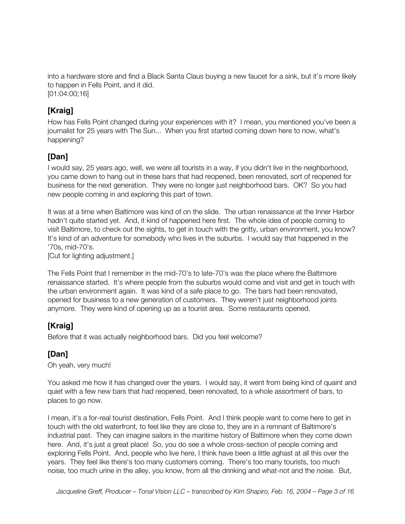into a hardware store and find a Black Santa Claus buying a new faucet for a sink, but it's more likely to happen in Fells Point, and it did. [01:04:00;16]

## **[Kraig]**

How has Fells Point changed during your experiences with it? I mean, you mentioned you've been a journalist for 25 years with The Sun... When you first started coming down here to now, what's happening?

## **[Dan]**

I would say, 25 years ago, well, we were all tourists in a way, if you didn't live in the neighborhood, you came down to hang out in these bars that had reopened, been renovated, sort of reopened for business for the next generation. They were no longer just neighborhood bars. OK? So you had new people coming in and exploring this part of town.

It was at a time when Baltimore was kind of on the slide. The urban renaissance at the Inner Harbor hadn't quite started yet. And, it kind of happened here first. The whole idea of people coming to visit Baltimore, to check out the sights, to get in touch with the gritty, urban environment, you know? It's kind of an adventure for somebody who lives in the suburbs. I would say that happened in the '70s, mid-70's.

[Cut for lighting adjustment.]

The Fells Point that I remember in the mid-70's to late-70's was the place where the Baltimore renaissance started. It's where people from the suburbs would come and visit and get in touch with the urban environment again. It was kind of a safe place to go. The bars had been renovated, opened for business to a new generation of customers. They weren't just neighborhood joints anymore. They were kind of opening up as a tourist area. Some restaurants opened.

#### **[Kraig]**

Before that it was actually neighborhood bars. Did you feel welcome?

#### **[Dan]**

Oh yeah, very much!

You asked me how it has changed over the years. I would say, it went from being kind of quaint and quiet with a few new bars that had reopened, been renovated, to a whole assortment of bars, to places to go now.

I mean, it's a for-real tourist destination, Fells Point. And I think people want to come here to get in touch with the old waterfront, to feel like they are close to, they are in a remnant of Baltimore's industrial past. They can imagine sailors in the maritime history of Baltimore when they come down here. And, it's just a great place! So, you do see a whole cross-section of people coming and exploring Fells Point. And, people who live here, I think have been a little aghast at all this over the years. They feel like there's too many customers coming. There's too many tourists, too much noise, too much urine in the alley, you know, from all the drinking and what-not and the noise. But,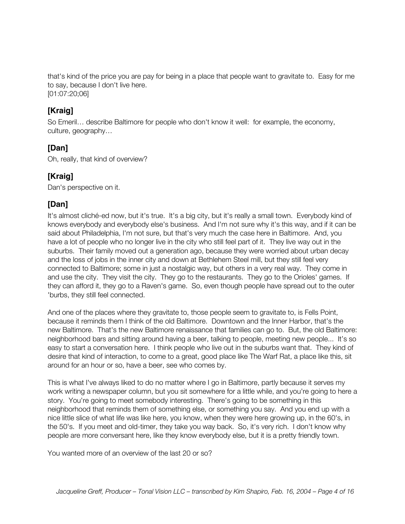that's kind of the price you are pay for being in a place that people want to gravitate to. Easy for me to say, because I don't live here. [01:07:20;06]

#### **[Kraig]**

So Emeril… describe Baltimore for people who don't know it well: for example, the economy, culture, geography…

## **[Dan]**

Oh, really, that kind of overview?

## **[Kraig]**

Dan's perspective on it.

## **[Dan]**

It's almost cliché-ed now, but it's true. It's a big city, but it's really a small town. Everybody kind of knows everybody and everybody else's business. And I'm not sure why it's this way, and if it can be said about Philadelphia, I'm not sure, but that's very much the case here in Baltimore. And, you have a lot of people who no longer live in the city who still feel part of it. They live way out in the suburbs. Their family moved out a generation ago, because they were worried about urban decay and the loss of jobs in the inner city and down at Bethlehem Steel mill, but they still feel very connected to Baltimore; some in just a nostalgic way, but others in a very real way. They come in and use the city. They visit the city. They go to the restaurants. They go to the Orioles' games. If they can afford it, they go to a Raven's game. So, even though people have spread out to the outer 'burbs, they still feel connected.

And one of the places where they gravitate to, those people seem to gravitate to, is Fells Point, because it reminds them I think of the old Baltimore. Downtown and the Inner Harbor, that's the new Baltimore. That's the new Baltimore renaissance that families can go to. But, the old Baltimore: neighborhood bars and sitting around having a beer, talking to people, meeting new people... It's so easy to start a conversation here. I think people who live out in the suburbs want that. They kind of desire that kind of interaction, to come to a great, good place like The Warf Rat, a place like this, sit around for an hour or so, have a beer, see who comes by.

This is what I've always liked to do no matter where I go in Baltimore, partly because it serves my work writing a newspaper column, but you sit somewhere for a little while, and you're going to here a story. You're going to meet somebody interesting. There's going to be something in this neighborhood that reminds them of something else, or something you say. And you end up with a nice little slice of what life was like here, you know, when they were here growing up, in the 60's, in the 50's. If you meet and old-timer, they take you way back. So, it's very rich. I don't know why people are more conversant here, like they know everybody else, but it is a pretty friendly town.

You wanted more of an overview of the last 20 or so?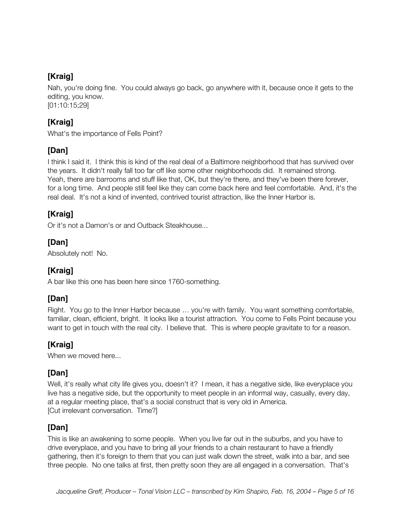## **[Kraig]**

Nah, you're doing fine. You could always go back, go anywhere with it, because once it gets to the editing, you know. [01:10:15;29]

## **[Kraig]**

What's the importance of Fells Point?

## **[Dan]**

I think I said it. I think this is kind of the real deal of a Baltimore neighborhood that has survived over the years. It didn't really fall too far off like some other neighborhoods did. It remained strong. Yeah, there are barrooms and stuff like that, OK, but they're there, and they've been there forever, for a long time. And people still feel like they can come back here and feel comfortable. And, it's the real deal. It's not a kind of invented, contrived tourist attraction, like the Inner Harbor is.

## **[Kraig]**

Or it's not a Damon's or and Outback Steakhouse...

## **[Dan]**

Absolutely not! No.

#### **[Kraig]**

A bar like this one has been here since 1760-something.

## **[Dan]**

Right. You go to the Inner Harbor because … you're with family. You want something comfortable, familiar, clean, efficient, bright. It looks like a tourist attraction. You come to Fells Point because you want to get in touch with the real city. I believe that. This is where people gravitate to for a reason.

## **[Kraig]**

When we moved here...

## **[Dan]**

Well, it's really what city life gives you, doesn't it? I mean, it has a negative side, like everyplace you live has a negative side, but the opportunity to meet people in an informal way, casually, every day, at a regular meeting place, that's a social construct that is very old in America. [Cut irrelevant conversation. Time?]

## **[Dan]**

This is like an awakening to some people. When you live far out in the suburbs, and you have to drive everyplace, and you have to bring all your friends to a chain restaurant to have a friendly gathering, then it's foreign to them that you can just walk down the street, walk into a bar, and see three people. No one talks at first, then pretty soon they are all engaged in a conversation. That's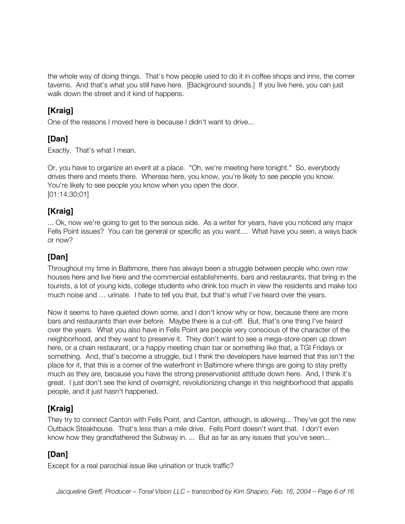the whole way of doing things. That's how people used to do it in coffee shops and inns, the corner taverns. And that's what you still have here. [Background sounds.] If you live here, you can just walk down the street and it kind of happens.

## **[Kraig]**

One of the reasons I moved here is because I didn't want to drive...

## **[Dan]**

Exactly. That's what I mean.

Or, you have to organize an event at a place. "Oh, we're meeting here tonight." So, everybody drives there and meets there. Whereas here, you know, you're likely to see people you know. You're likely to see people you know when you open the door. [01:14:30;01]

#### **[Kraig]**

... Ok, now we're going to get to the serious side. As a writer for years, have you noticed any major Fells Point issues? You can be general or specific as you want.... What have you seen, a ways back or now?

#### **[Dan]**

Throughout my time in Baltimore, there has always been a struggle between people who own row houses here and live here and the commercial establishments, bars and restaurants, that bring in the tourists, a lot of young kids, college students who drink too much in view the residents and make too much noise and … urinate. I hate to tell you that, but that's what I've heard over the years.

Now it seems to have quieted down some, and I don't know why or how, because there are more bars and restaurants than ever before. Maybe there is a cut-off. But, that's one thing I've heard over the years. What you also have in Fells Point are people very conscious of the character of the neighborhood, and they want to preserve it. They don't want to see a mega-store open up down here, or a chain restaurant, or a happy meeting chain bar or something like that, a TGI Fridays or something. And, that's become a struggle, but I think the developers have learned that this isn't the place for it, that this is a corner of the waterfront in Baltimore where things are going to stay pretty much as they are, because you have the strong preservationist attitude down here. And, I think it's great. I just don't see the kind of overnight, revolutionizing change in this neighborhood that appalls people, and it just hasn't happened.

## **[Kraig]**

They try to connect Canton with Fells Point, and Canton, although, is allowing... They've got the new Outback Steakhouse. That's less than a mile drive. Fells Point doesn't want that. I don't even know how they grandfathered the Subway in. ... But as far as any issues that you've seen...

## **[Dan]**

Except for a real parochial issue like urination or truck traffic?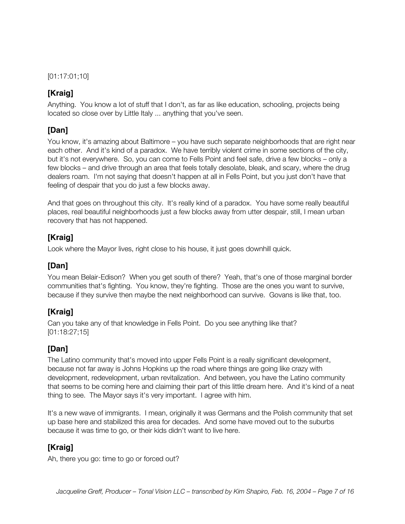[01:17:01;10]

## **[Kraig]**

Anything. You know a lot of stuff that I don't, as far as like education, schooling, projects being located so close over by Little Italy ... anything that you've seen.

#### **[Dan]**

You know, it's amazing about Baltimore – you have such separate neighborhoods that are right near each other. And it's kind of a paradox. We have terribly violent crime in some sections of the city, but it's not everywhere. So, you can come to Fells Point and feel safe, drive a few blocks – only a few blocks – and drive through an area that feels totally desolate, bleak, and scary, where the drug dealers roam. I'm not saying that doesn't happen at all in Fells Point, but you just don't have that feeling of despair that you do just a few blocks away.

And that goes on throughout this city. It's really kind of a paradox. You have some really beautiful places, real beautiful neighborhoods just a few blocks away from utter despair, still, I mean urban recovery that has not happened.

## **[Kraig]**

Look where the Mayor lives, right close to his house, it just goes downhill quick.

#### **[Dan]**

You mean Belair-Edison? When you get south of there? Yeah, that's one of those marginal border communities that's fighting. You know, they're fighting. Those are the ones you want to survive, because if they survive then maybe the next neighborhood can survive. Govans is like that, too.

#### **[Kraig]**

Can you take any of that knowledge in Fells Point. Do you see anything like that? [01:18:27;15]

#### **[Dan]**

The Latino community that's moved into upper Fells Point is a really significant development, because not far away is Johns Hopkins up the road where things are going like crazy with development, redevelopment, urban revitalization. And between, you have the Latino community that seems to be coming here and claiming their part of this little dream here. And it's kind of a neat thing to see. The Mayor says it's very important. I agree with him.

It's a new wave of immigrants. I mean, originally it was Germans and the Polish community that set up base here and stabilized this area for decades. And some have moved out to the suburbs because it was time to go, or their kids didn't want to live here.

## **[Kraig]**

Ah, there you go: time to go or forced out?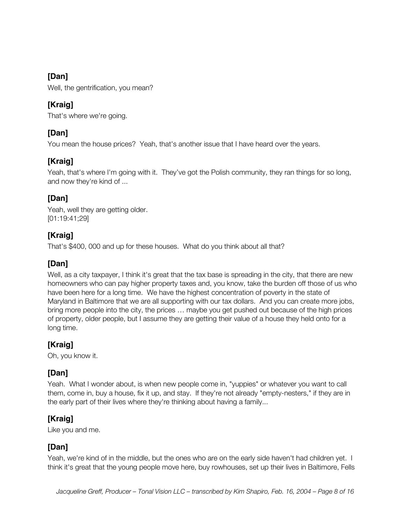Well, the gentrification, you mean?

## **[Kraig]**

That's where we're going.

## **[Dan]**

You mean the house prices? Yeah, that's another issue that I have heard over the years.

## **[Kraig]**

Yeah, that's where I'm going with it. They've got the Polish community, they ran things for so long, and now they're kind of ...

## **[Dan]**

Yeah, well they are getting older. [01:19:41;29]

## **[Kraig]**

That's \$400, 000 and up for these houses. What do you think about all that?

## **[Dan]**

Well, as a city taxpayer, I think it's great that the tax base is spreading in the city, that there are new homeowners who can pay higher property taxes and, you know, take the burden off those of us who have been here for a long time. We have the highest concentration of poverty in the state of Maryland in Baltimore that we are all supporting with our tax dollars. And you can create more jobs, bring more people into the city, the prices … maybe you get pushed out because of the high prices of property, older people, but I assume they are getting their value of a house they held onto for a long time.

## **[Kraig]**

Oh, you know it.

## **[Dan]**

Yeah. What I wonder about, is when new people come in, "yuppies" or whatever you want to call them, come in, buy a house, fix it up, and stay. If they're not already "empty-nesters," if they are in the early part of their lives where they're thinking about having a family...

## **[Kraig]**

Like you and me.

#### **[Dan]**

Yeah, we're kind of in the middle, but the ones who are on the early side haven't had children yet. I think it's great that the young people move here, buy rowhouses, set up their lives in Baltimore, Fells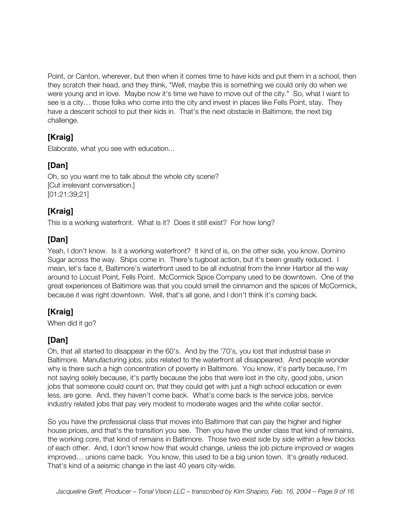Point, or Canton, wherever, but then when it comes time to have kids and put them in a school, then they scratch their head, and they think, "Well, maybe this is something we could only do when we were young and in love. Maybe now it's time we have to move out of the city." So, what I want to see is a city… those folks who come into the city and invest in places like Fells Point, stay. They have a descent school to put their kids in. That's the next obstacle in Baltimore, the next big challenge.

## **[Kraig]**

Elaborate, what you see with education...

## **[Dan]**

Oh, so you want me to talk about the whole city scene? [Cut irrelevant conversation.] [01:21:39;21]

## **[Kraig]**

This is a working waterfront. What is it? Does it still exist? For how long?

## **[Dan]**

Yeah, I don't know. Is it a working waterfront? It kind of is, on the other side, you know, Domino Sugar across the way. Ships come in. There's tugboat action, but it's been greatly reduced. I mean, let's face it, Baltimore's waterfront used to be all industrial from the Inner Harbor all the way around to Locust Point, Fells Point. McCormick Spice Company used to be downtown. One of the great experiences of Baltimore was that you could smell the cinnamon and the spices of McCormick, because it was right downtown. Well, that's all gone, and I don't think it's coming back.

## **[Kraig]**

When did it go?

## **[Dan]**

Oh, that all started to disappear in the 60's. And by the '70's, you lost that industrial base in Baltimore. Manufacturing jobs, jobs related to the waterfront all disappeared. And people wonder why is there such a high concentration of poverty in Baltimore. You know, it's partly because, I'm not saying solely because, it's partly because the jobs that were lost in the city, good jobs, union jobs that someone could count on, that they could get with just a high school education or even less, are gone. And, they haven't come back. What's come back is the service jobs, service industry related jobs that pay very modest to moderate wages and the white collar sector.

So you have the professional class that moves into Baltimore that can pay the higher and higher house prices, and that's the transition you see. Then you have the under class that kind of remains, the working core, that kind of remains in Baltimore. Those two exist side by side within a few blocks of each other. And, I don't know how that would change, unless the job picture improved or wages improved… unions came back. You know, this used to be a big union town. It's greatly reduced. That's kind of a seismic change in the last 40 years city-wide.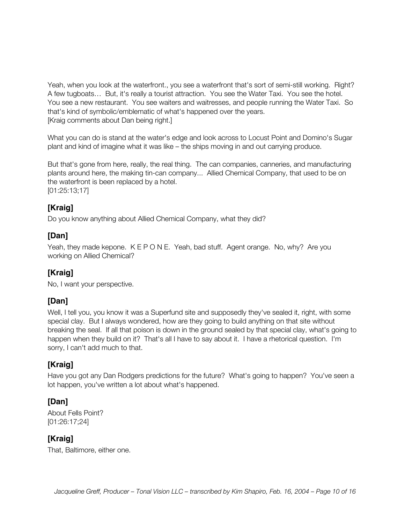Yeah, when you look at the waterfront., you see a waterfront that's sort of semi-still working. Right? A few tugboats… But, it's really a tourist attraction. You see the Water Taxi. You see the hotel. You see a new restaurant. You see waiters and waitresses, and people running the Water Taxi. So that's kind of symbolic/emblematic of what's happened over the years. [Kraig comments about Dan being right.]

What you can do is stand at the water's edge and look across to Locust Point and Domino's Sugar plant and kind of imagine what it was like – the ships moving in and out carrying produce.

But that's gone from here, really, the real thing. The can companies, canneries, and manufacturing plants around here, the making tin-can company... Allied Chemical Company, that used to be on the waterfront is been replaced by a hotel. [01:25:13;17]

**[Kraig]**

Do you know anything about Allied Chemical Company, what they did?

#### **[Dan]**

Yeah, they made kepone. K E P O N E. Yeah, bad stuff. Agent orange. No, why? Are you working on Allied Chemical?

#### **[Kraig]**

No, I want your perspective.

#### **[Dan]**

Well, I tell you, you know it was a Superfund site and supposedly they've sealed it, right, with some special clay. But I always wondered, how are they going to build anything on that site without breaking the seal. If all that poison is down in the ground sealed by that special clay, what's going to happen when they build on it? That's all I have to say about it. I have a rhetorical question. I'm sorry, I can't add much to that.

#### **[Kraig]**

Have you got any Dan Rodgers predictions for the future? What's going to happen? You've seen a lot happen, you've written a lot about what's happened.

#### **[Dan]**

About Fells Point? [01:26:17;24]

#### **[Kraig]**

That, Baltimore, either one.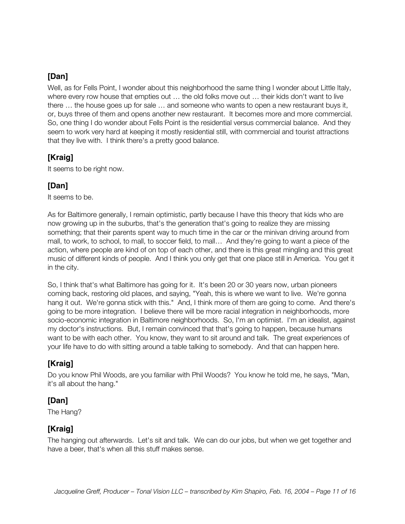Well, as for Fells Point, I wonder about this neighborhood the same thing I wonder about Little Italy, where every row house that empties out … the old folks move out … their kids don't want to live there … the house goes up for sale … and someone who wants to open a new restaurant buys it, or, buys three of them and opens another new restaurant. It becomes more and more commercial. So, one thing I do wonder about Fells Point is the residential versus commercial balance. And they seem to work very hard at keeping it mostly residential still, with commercial and tourist attractions that they live with. I think there's a pretty good balance.

## **[Kraig]**

It seems to be right now.

#### **[Dan]**

It seems to be.

As for Baltimore generally, I remain optimistic, partly because I have this theory that kids who are now growing up in the suburbs, that's the generation that's going to realize they are missing something; that their parents spent way to much time in the car or the minivan driving around from mall, to work, to school, to mall, to soccer field, to mall… And they're going to want a piece of the action, where people are kind of on top of each other, and there is this great mingling and this great music of different kinds of people. And I think you only get that one place still in America. You get it in the city.

So, I think that's what Baltimore has going for it. It's been 20 or 30 years now, urban pioneers coming back, restoring old places, and saying, "Yeah, this is where we want to live. We're gonna hang it out. We're gonna stick with this." And, I think more of them are going to come. And there's going to be more integration. I believe there will be more racial integration in neighborhoods, more socio-economic integration in Baltimore neighborhoods. So, I'm an optimist. I'm an idealist, against my doctor's instructions. But, I remain convinced that that's going to happen, because humans want to be with each other. You know, they want to sit around and talk. The great experiences of your life have to do with sitting around a table talking to somebody. And that can happen here.

#### **[Kraig]**

Do you know Phil Woods, are you familiar with Phil Woods? You know he told me, he says, "Man, it's all about the hang."

#### **[Dan]**

The Hang?

#### **[Kraig]**

The hanging out afterwards. Let's sit and talk. We can do our jobs, but when we get together and have a beer, that's when all this stuff makes sense.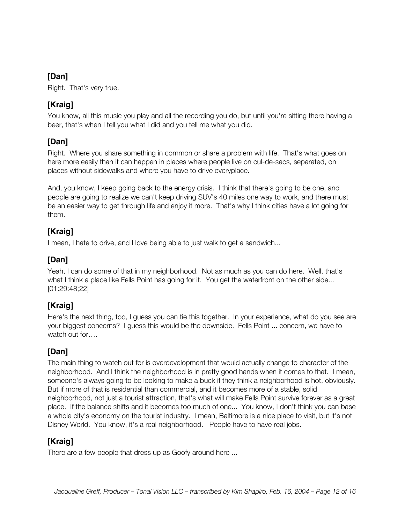Right. That's very true.

## **[Kraig]**

You know, all this music you play and all the recording you do, but until you're sitting there having a beer, that's when I tell you what I did and you tell me what you did.

#### **[Dan]**

Right. Where you share something in common or share a problem with life. That's what goes on here more easily than it can happen in places where people live on cul-de-sacs, separated, on places without sidewalks and where you have to drive everyplace.

And, you know, I keep going back to the energy crisis. I think that there's going to be one, and people are going to realize we can't keep driving SUV's 40 miles one way to work, and there must be an easier way to get through life and enjoy it more. That's why I think cities have a lot going for them.

## **[Kraig]**

I mean, I hate to drive, and I love being able to just walk to get a sandwich...

## **[Dan]**

Yeah, I can do some of that in my neighborhood. Not as much as you can do here. Well, that's what I think a place like Fells Point has going for it. You get the waterfront on the other side... [01:29:48;22]

#### **[Kraig]**

Here's the next thing, too, I guess you can tie this together. In your experience, what do you see are your biggest concerns? I guess this would be the downside. Fells Point ... concern, we have to watch out for….

#### **[Dan]**

The main thing to watch out for is overdevelopment that would actually change to character of the neighborhood. And I think the neighborhood is in pretty good hands when it comes to that. I mean, someone's always going to be looking to make a buck if they think a neighborhood is hot, obviously. But if more of that is residential than commercial, and it becomes more of a stable, solid neighborhood, not just a tourist attraction, that's what will make Fells Point survive forever as a great place. If the balance shifts and it becomes too much of one... You know, I don't think you can base a whole city's economy on the tourist industry. I mean, Baltimore is a nice place to visit, but it's not Disney World. You know, it's a real neighborhood. People have to have real jobs.

#### **[Kraig]**

There are a few people that dress up as Goofy around here ...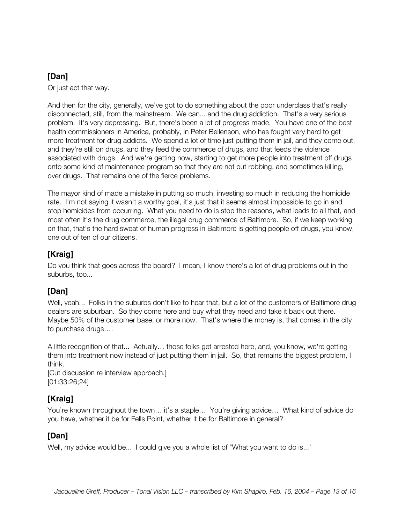Or just act that way.

And then for the city, generally, we've got to do something about the poor underclass that's really disconnected, still, from the mainstream. We can... and the drug addiction. That's a very serious problem. It's very depressing. But, there's been a lot of progress made. You have one of the best health commissioners in America, probably, in Peter Beilenson, who has fought very hard to get more treatment for drug addicts. We spend a lot of time just putting them in jail, and they come out, and they're still on drugs, and they feed the commerce of drugs, and that feeds the violence associated with drugs. And we're getting now, starting to get more people into treatment off drugs onto some kind of maintenance program so that they are not out robbing, and sometimes killing, over drugs. That remains one of the fierce problems.

The mayor kind of made a mistake in putting so much, investing so much in reducing the homicide rate. I'm not saying it wasn't a worthy goal, it's just that it seems almost impossible to go in and stop homicides from occurring. What you need to do is stop the reasons, what leads to all that, and most often it's the drug commerce, the illegal drug commerce of Baltimore. So, if we keep working on that, that's the hard sweat of human progress in Baltimore is getting people off drugs, you know, one out of ten of our citizens.

## **[Kraig]**

Do you think that goes across the board? I mean, I know there's a lot of drug problems out in the suburbs, too...

#### **[Dan]**

Well, yeah... Folks in the suburbs don't like to hear that, but a lot of the customers of Baltimore drug dealers are suburban. So they come here and buy what they need and take it back out there. Maybe 50% of the customer base, or more now. That's where the money is, that comes in the city to purchase drugs….

A little recognition of that... Actually… those folks get arrested here, and, you know, we're getting them into treatment now instead of just putting them in jail. So, that remains the biggest problem, I think.

[Cut discussion re interview approach.] [01:33:26;24]

## **[Kraig]**

You're known throughout the town… it's a staple… You're giving advice… What kind of advice do you have, whether it be for Fells Point, whether it be for Baltimore in general?

#### **[Dan]**

Well, my advice would be... I could give you a whole list of "What you want to do is..."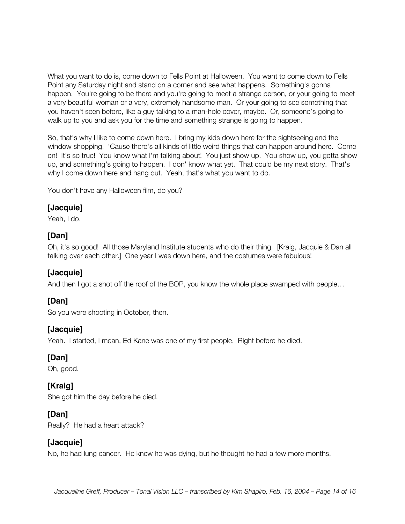What you want to do is, come down to Fells Point at Halloween. You want to come down to Fells Point any Saturday night and stand on a corner and see what happens. Something's gonna happen. You're going to be there and you're going to meet a strange person, or your going to meet a very beautiful woman or a very, extremely handsome man. Or your going to see something that you haven't seen before, like a guy talking to a man-hole cover, maybe. Or, someone's going to walk up to you and ask you for the time and something strange is going to happen.

So, that's why I like to come down here. I bring my kids down here for the sightseeing and the window shopping. 'Cause there's all kinds of little weird things that can happen around here. Come on! It's so true! You know what I'm talking about! You just show up. You show up, you gotta show up, and something's going to happen. I don' know what yet. That could be my next story. That's why I come down here and hang out. Yeah, that's what you want to do.

You don't have any Halloween film, do you?

#### **[Jacquie]**

Yeah, I do.

#### **[Dan]**

Oh, it's so good! All those Maryland Institute students who do their thing. [Kraig, Jacquie & Dan all talking over each other.] One year I was down here, and the costumes were fabulous!

#### **[Jacquie]**

And then I got a shot off the roof of the BOP, you know the whole place swamped with people...

#### **[Dan]**

So you were shooting in October, then.

#### **[Jacquie]**

Yeah. I started, I mean, Ed Kane was one of my first people. Right before he died.

#### **[Dan]**

Oh, good.

#### **[Kraig]**

She got him the day before he died.

#### **[Dan]**

Really? He had a heart attack?

#### **[Jacquie]**

No, he had lung cancer. He knew he was dying, but he thought he had a few more months.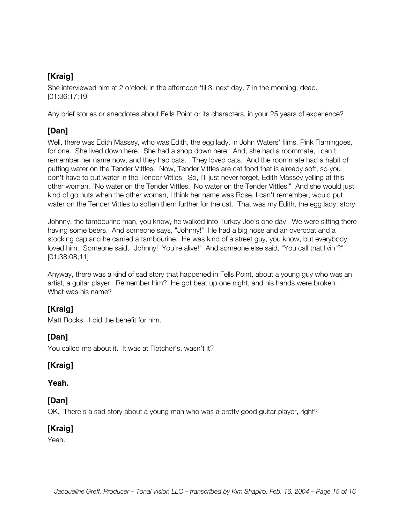## **[Kraig]**

She interviewed him at 2 o'clock in the afternoon 'til 3, next day, 7 in the morning, dead. [01:36:17;19]

Any brief stories or anecdotes about Fells Point or its characters, in your 25 years of experience?

#### **[Dan]**

Well, there was Edith Massey, who was Edith, the egg lady, in John Waters' films, Pink Flamingoes, for one. She lived down here. She had a shop down here. And, she had a roommate, I can't remember her name now, and they had cats. They loved cats. And the roommate had a habit of putting water on the Tender Vittles. Now, Tender Vittles are cat food that is already soft, so you don't have to put water in the Tender Vittles. So, I'll just never forget, Edith Massey yelling at this other woman, "No water on the Tender Vittles! No water on the Tender Vittles!" And she would just kind of go nuts when the other woman, I think her name was Rose, I can't remember, would put water on the Tender Vittles to soften them further for the cat. That was my Edith, the egg lady, story.

Johnny, the tambourine man, you know, he walked into Turkey Joe's one day. We were sitting there having some beers. And someone says, "Johnny!" He had a big nose and an overcoat and a stocking cap and he carried a tambourine. He was kind of a street guy, you know, but everybody loved him. Someone said, "Johnny! You're alive!" And someone else said, "You call that livin'?" [01:38:08;11]

Anyway, there was a kind of sad story that happened in Fells Point, about a young guy who was an artist, a guitar player. Remember him? He got beat up one night, and his hands were broken. What was his name?

## **[Kraig]**

Matt Rocks. I did the benefit for him.

#### **[Dan]**

You called me about it. It was at Fletcher's, wasn't it?

#### **[Kraig]**

#### **Yeah.**

#### **[Dan]**

OK. There's a sad story about a young man who was a pretty good guitar player, right?

#### **[Kraig]**

Yeah.